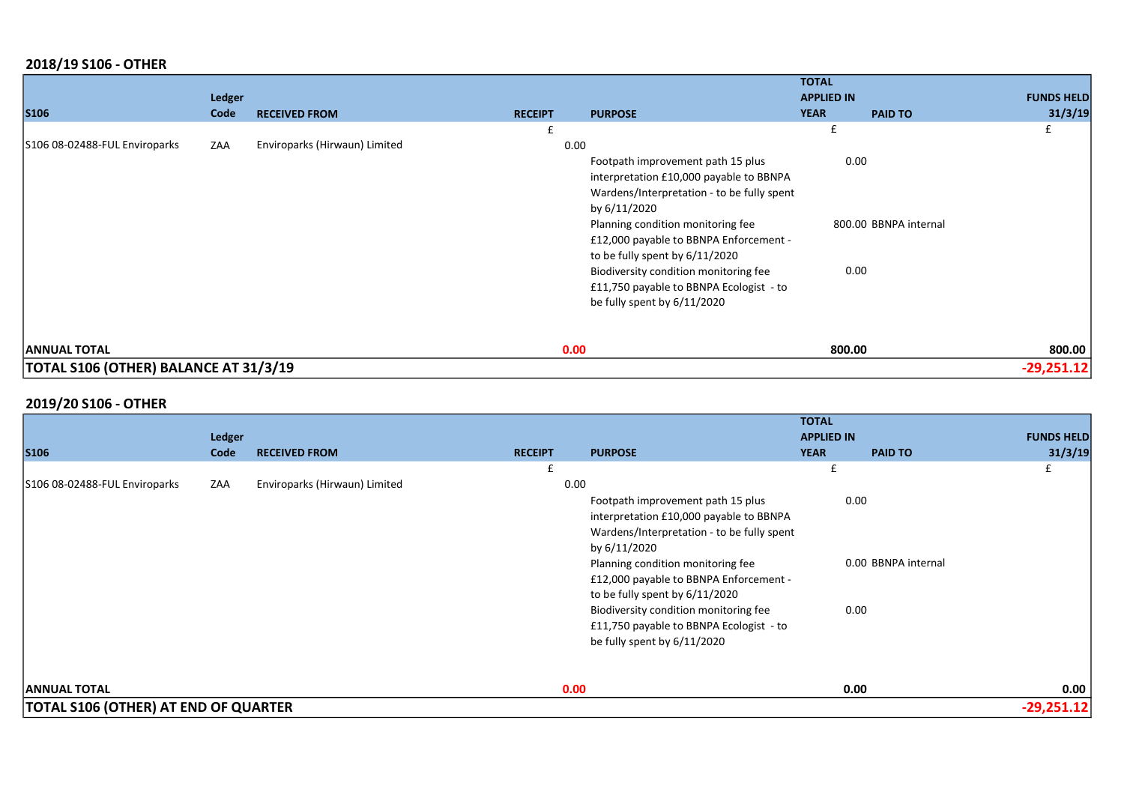## 2018/19 S106 - OTHER

|                                              |               |                               |                |                                            | <b>TOTAL</b>      |                       |                   |
|----------------------------------------------|---------------|-------------------------------|----------------|--------------------------------------------|-------------------|-----------------------|-------------------|
|                                              | <b>Ledger</b> |                               |                |                                            | <b>APPLIED IN</b> |                       | <b>FUNDS HELD</b> |
| <b>S106</b>                                  | Code          | <b>RECEIVED FROM</b>          | <b>RECEIPT</b> | <b>PURPOSE</b>                             | <b>YEAR</b>       | <b>PAID TO</b>        | 31/3/19           |
|                                              |               |                               |                |                                            | £                 |                       | £                 |
| S106 08-02488-FUL Enviroparks                | ZAA           | Enviroparks (Hirwaun) Limited |                | 0.00                                       |                   |                       |                   |
|                                              |               |                               |                | Footpath improvement path 15 plus          |                   | 0.00                  |                   |
|                                              |               |                               |                | interpretation £10,000 payable to BBNPA    |                   |                       |                   |
|                                              |               |                               |                | Wardens/Interpretation - to be fully spent |                   |                       |                   |
|                                              |               |                               |                | by 6/11/2020                               |                   |                       |                   |
|                                              |               |                               |                | Planning condition monitoring fee          |                   | 800.00 BBNPA internal |                   |
|                                              |               |                               |                | £12,000 payable to BBNPA Enforcement -     |                   |                       |                   |
|                                              |               |                               |                | to be fully spent by 6/11/2020             |                   |                       |                   |
|                                              |               |                               |                | Biodiversity condition monitoring fee      |                   | 0.00                  |                   |
|                                              |               |                               |                | £11,750 payable to BBNPA Ecologist - to    |                   |                       |                   |
|                                              |               |                               |                | be fully spent by 6/11/2020                |                   |                       |                   |
|                                              |               |                               |                |                                            |                   |                       |                   |
| <b>ANNUAL TOTAL</b>                          |               |                               |                | 0.00                                       | 800.00            |                       | 800.00            |
| <b>TOTAL S106 (OTHER) BALANCE AT 31/3/19</b> |               |                               |                |                                            |                   |                       | $-29,251.12$      |

## 2019/20 S106 - OTHER

|                                             |               |                               |                |                                            | <b>TOTAL</b>      |                     |                   |
|---------------------------------------------|---------------|-------------------------------|----------------|--------------------------------------------|-------------------|---------------------|-------------------|
|                                             | <b>Ledger</b> |                               |                |                                            | <b>APPLIED IN</b> |                     | <b>FUNDS HELD</b> |
| <b>S106</b>                                 | Code          | <b>RECEIVED FROM</b>          | <b>RECEIPT</b> | <b>PURPOSE</b>                             | <b>YEAR</b>       | <b>PAID TO</b>      | 31/3/19           |
|                                             |               |                               | £              |                                            | £                 |                     | £                 |
| S106 08-02488-FUL Enviroparks               | ZAA           | Enviroparks (Hirwaun) Limited | 0.00           |                                            |                   |                     |                   |
|                                             |               |                               |                | Footpath improvement path 15 plus          |                   | 0.00                |                   |
|                                             |               |                               |                | interpretation £10,000 payable to BBNPA    |                   |                     |                   |
|                                             |               |                               |                | Wardens/Interpretation - to be fully spent |                   |                     |                   |
|                                             |               |                               |                | by 6/11/2020                               |                   |                     |                   |
|                                             |               |                               |                | Planning condition monitoring fee          |                   | 0.00 BBNPA internal |                   |
|                                             |               |                               |                | £12,000 payable to BBNPA Enforcement -     |                   |                     |                   |
|                                             |               |                               |                | to be fully spent by 6/11/2020             |                   |                     |                   |
|                                             |               |                               |                | Biodiversity condition monitoring fee      |                   | 0.00                |                   |
|                                             |               |                               |                | £11,750 payable to BBNPA Ecologist - to    |                   |                     |                   |
|                                             |               |                               |                | be fully spent by 6/11/2020                |                   |                     |                   |
| <b>ANNUAL TOTAL</b>                         |               |                               | 0.00           |                                            |                   | 0.00                | 0.00              |
|                                             |               |                               |                |                                            |                   |                     |                   |
| <b>TOTAL S106 (OTHER) AT END OF QUARTER</b> |               |                               |                |                                            |                   |                     | $-29,251.12$      |